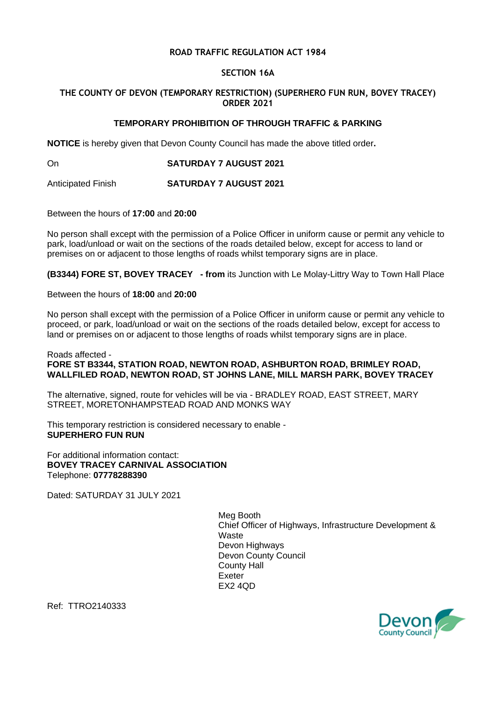### **ROAD TRAFFIC REGULATION ACT 1984**

### **SECTION 16A**

# **THE COUNTY OF DEVON (TEMPORARY RESTRICTION) (SUPERHERO FUN RUN, BOVEY TRACEY) ORDER 2021**

# **TEMPORARY PROHIBITION OF THROUGH TRAFFIC & PARKING**

**NOTICE** is hereby given that Devon County Council has made the above titled order**.**

On **SATURDAY 7 AUGUST 2021**

Anticipated Finish **SATURDAY 7 AUGUST 2021**

Between the hours of **17:00** and **20:00**

No person shall except with the permission of a Police Officer in uniform cause or permit any vehicle to park, load/unload or wait on the sections of the roads detailed below, except for access to land or premises on or adjacent to those lengths of roads whilst temporary signs are in place.

**(B3344) FORE ST, BOVEY TRACEY - from** its Junction with Le Molay-Littry Way to Town Hall Place

Between the hours of **18:00** and **20:00**

No person shall except with the permission of a Police Officer in uniform cause or permit any vehicle to proceed, or park, load/unload or wait on the sections of the roads detailed below, except for access to land or premises on or adjacent to those lengths of roads whilst temporary signs are in place.

#### Roads affected - **FORE ST B3344, STATION ROAD, NEWTON ROAD, ASHBURTON ROAD, BRIMLEY ROAD, WALLFILED ROAD, NEWTON ROAD, ST JOHNS LANE, MILL MARSH PARK, BOVEY TRACEY**

The alternative, signed, route for vehicles will be via - BRADLEY ROAD, EAST STREET, MARY STREET, MORETONHAMPSTEAD ROAD AND MONKS WAY

This temporary restriction is considered necessary to enable - **SUPERHERO FUN RUN**

For additional information contact: **BOVEY TRACEY CARNIVAL ASSOCIATION** Telephone: **07778288390**

Dated: SATURDAY 31 JULY 2021

Meg Booth Chief Officer of Highways, Infrastructure Development & **Waste** Devon Highways Devon County Council County Hall Exeter EX2 4QD



Ref: TTRO2140333